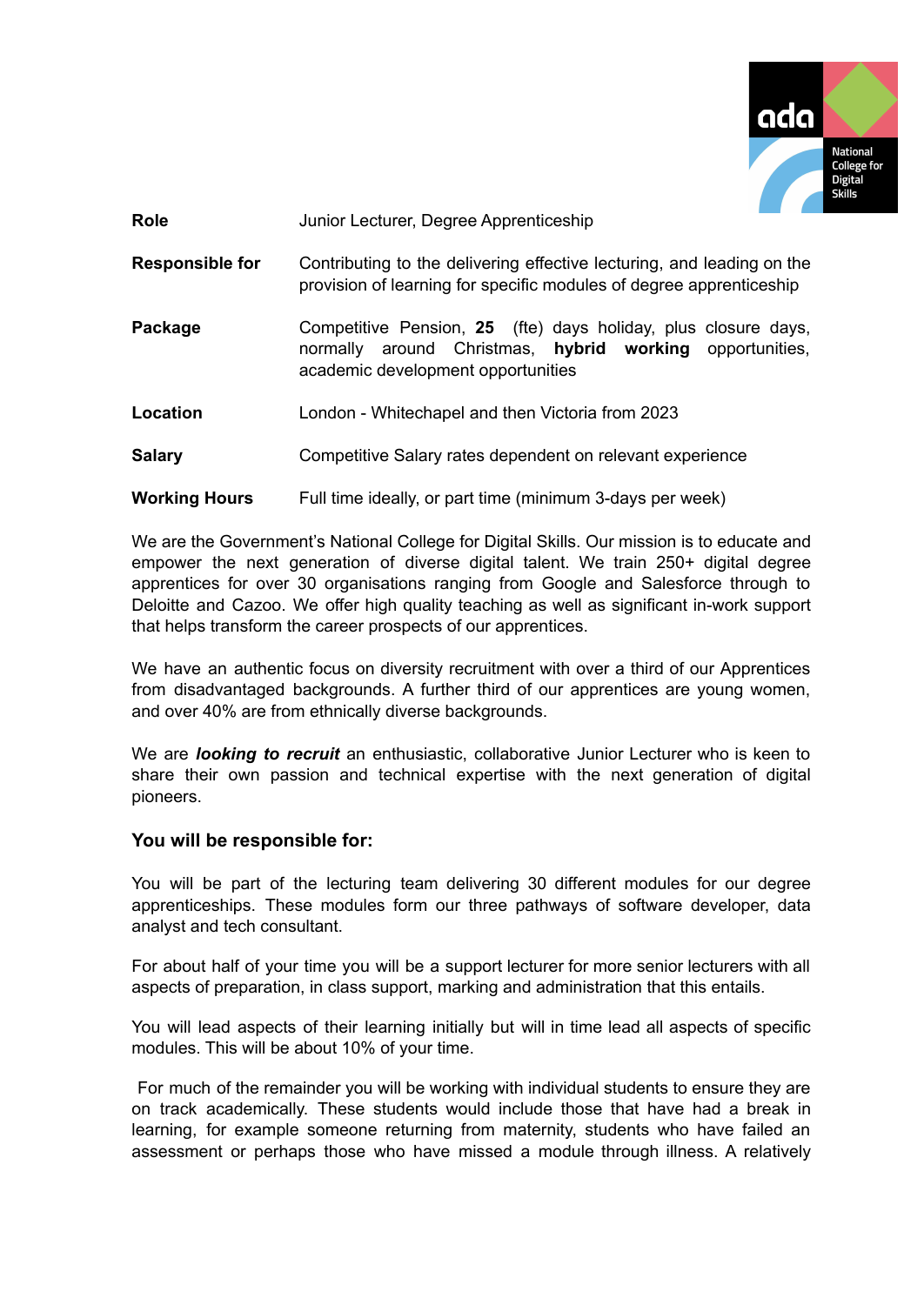

**Role** Junior Lecturer, Degree Apprenticeship

- **Responsible for** Contributing to the delivering effective lecturing, and leading on the provision of learning for specific modules of degree apprenticeship
- **Package** Competitive Pension, 25 (fte) days holiday, plus closure days, normally around Christmas, **hybrid working** opportunities, academic development opportunities
- **Location** London Whitechapel and then Victoria from 2023
- **Salary** Competitive Salary rates dependent on relevant experience

### **Working Hours** Full time ideally, or part time (minimum 3-days per week)

We are the Government's National College for Digital Skills. Our mission is to educate and empower the next generation of diverse digital talent. We train 250+ digital degree apprentices for over 30 organisations ranging from Google and Salesforce through to Deloitte and Cazoo. We offer high quality teaching as well as significant in-work support that helps transform the career prospects of our apprentices.

We have an authentic focus on diversity recruitment with over a third of our Apprentices from disadvantaged backgrounds. A further third of our apprentices are young women, and over 40% are from ethnically diverse backgrounds.

We are *looking to recruit* an enthusiastic, collaborative Junior Lecturer who is keen to share their own passion and technical expertise with the next generation of digital pioneers.

### **You will be responsible for:**

You will be part of the lecturing team delivering 30 different modules for our degree apprenticeships. These modules form our three pathways of software developer, data analyst and tech consultant.

For about half of your time you will be a support lecturer for more senior lecturers with all aspects of preparation, in class support, marking and administration that this entails.

You will lead aspects of their learning initially but will in time lead all aspects of specific modules. This will be about 10% of your time.

For much of the remainder you will be working with individual students to ensure they are on track academically. These students would include those that have had a break in learning, for example someone returning from maternity, students who have failed an assessment or perhaps those who have missed a module through illness. A relatively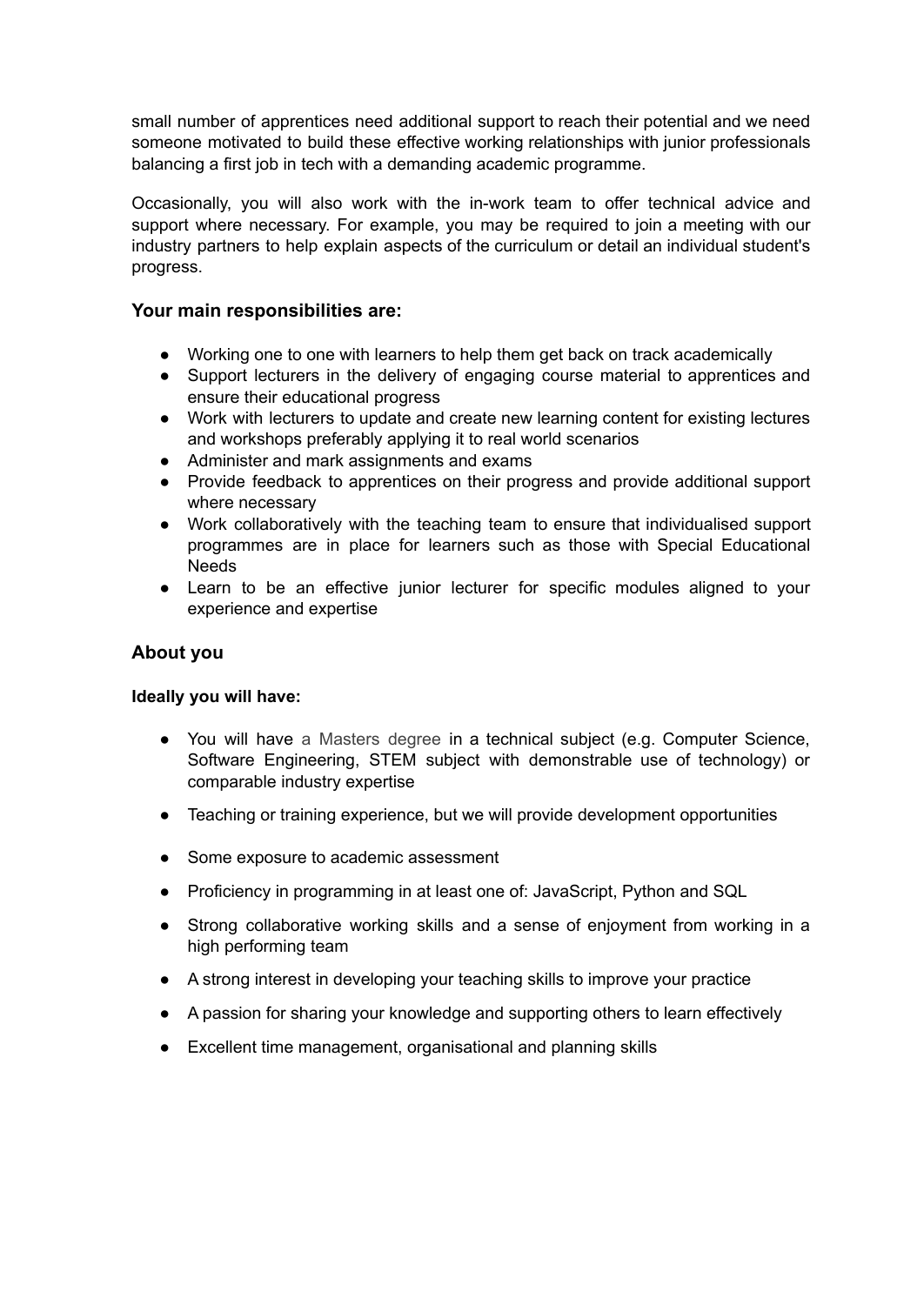small number of apprentices need additional support to reach their potential and we need someone motivated to build these effective working relationships with junior professionals balancing a first job in tech with a demanding academic programme.

Occasionally, you will also work with the in-work team to offer technical advice and support where necessary. For example, you may be required to join a meeting with our industry partners to help explain aspects of the curriculum or detail an individual student's progress.

# **Your main responsibilities are:**

- Working one to one with learners to help them get back on track academically
- Support lecturers in the delivery of engaging course material to apprentices and ensure their educational progress
- Work with lecturers to update and create new learning content for existing lectures and workshops preferably applying it to real world scenarios
- Administer and mark assignments and exams
- Provide feedback to apprentices on their progress and provide additional support where necessary
- Work collaboratively with the teaching team to ensure that individualised support programmes are in place for learners such as those with Special Educational **Needs**
- Learn to be an effective junior lecturer for specific modules aligned to your experience and expertise

## **About you**

## **Ideally you will have:**

- You will have a Masters degree in a technical subject (e.g. Computer Science, Software Engineering, STEM subject with demonstrable use of technology) or comparable industry expertise
- Teaching or training experience, but we will provide development opportunities
- Some exposure to academic assessment
- Proficiency in programming in at least one of: JavaScript, Python and SQL
- Strong collaborative working skills and a sense of enjoyment from working in a high performing team
- A strong interest in developing your teaching skills to improve your practice
- A passion for sharing your knowledge and supporting others to learn effectively
- Excellent time management, organisational and planning skills